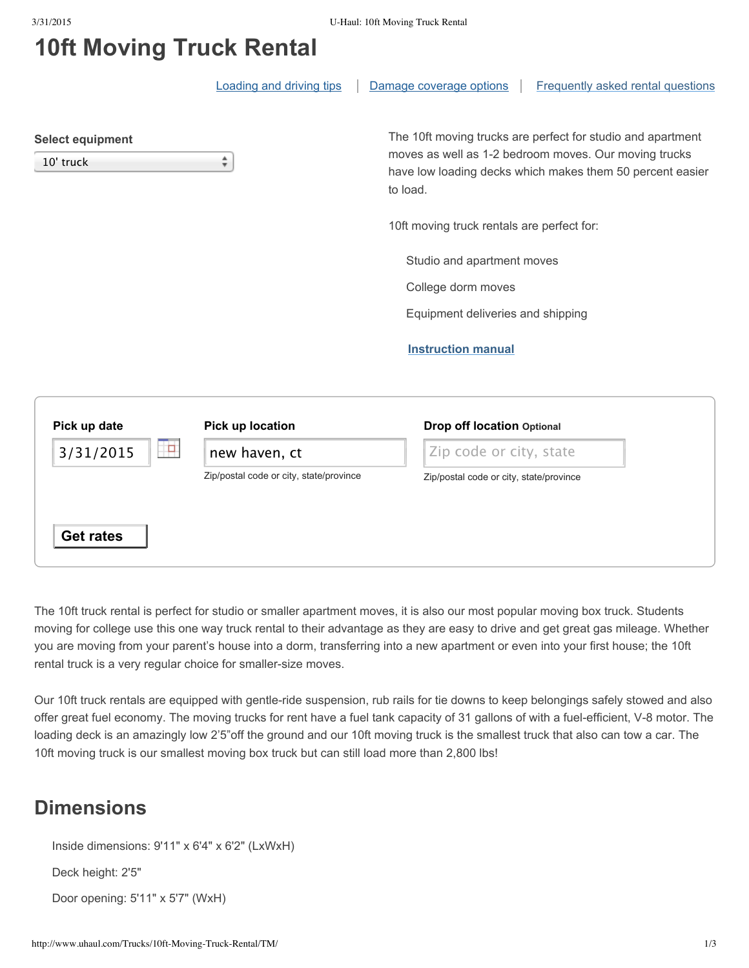## **10ft Moving Truck Rental**

|                                      | <b>Loading and driving tips</b>                          |                                                                                                                                                                                               | Damage coverage options                 |  | Frequently asked rental questions |  |
|--------------------------------------|----------------------------------------------------------|-----------------------------------------------------------------------------------------------------------------------------------------------------------------------------------------------|-----------------------------------------|--|-----------------------------------|--|
| <b>Select equipment</b><br>10' truck | ÷                                                        | The 10ft moving trucks are perfect for studio and apartment<br>moves as well as 1-2 bedroom moves. Our moving trucks<br>have low loading decks which makes them 50 percent easier<br>to load. |                                         |  |                                   |  |
|                                      | 10ft moving truck rentals are perfect for:               |                                                                                                                                                                                               |                                         |  |                                   |  |
|                                      | Studio and apartment moves                               |                                                                                                                                                                                               |                                         |  |                                   |  |
|                                      | College dorm moves                                       |                                                                                                                                                                                               |                                         |  |                                   |  |
|                                      | Equipment deliveries and shipping                        |                                                                                                                                                                                               |                                         |  |                                   |  |
|                                      | <b>Instruction manual</b>                                |                                                                                                                                                                                               |                                         |  |                                   |  |
| Pick up date                         | Pick up location                                         |                                                                                                                                                                                               | <b>Drop off location Optional</b>       |  |                                   |  |
| P.<br>3/31/2015                      | new haven, ct<br>Zip/postal code or city, state/province |                                                                                                                                                                                               | Zip code or city, state                 |  |                                   |  |
|                                      |                                                          |                                                                                                                                                                                               | Zip/postal code or city, state/province |  |                                   |  |
| <b>Get rates</b>                     |                                                          |                                                                                                                                                                                               |                                         |  |                                   |  |

The 10ft truck rental is perfect for studio or smaller apartment moves, it is also our most popular moving box truck. Students moving for college use this one way truck rental to their advantage as they are easy to drive and get great gas mileage. Whether you are moving from your parent's house into a dorm, transferring into a new apartment or even into your first house; the 10ft rental truck is a very regular choice for smaller-size moves.

Our 10ft truck rentals are equipped with gentle-ride suspension, rub rails for tie downs to keep belongings safely stowed and also offer great fuel economy. The moving trucks for rent have a fuel tank capacity of 31 gallons of with a fuel-efficient, V-8 motor. The loading deck is an amazingly low 2'5"off the ground and our 10ft moving truck is the smallest truck that also can tow a car. The 10ft moving truck is our smallest moving box truck but can still load more than 2,800 lbs!

## **Dimensions**

Inside dimensions: 9'11" x 6'4" x 6'2" (LxWxH)

Deck height: 2'5"

Door opening: 5'11" x 5'7" (WxH)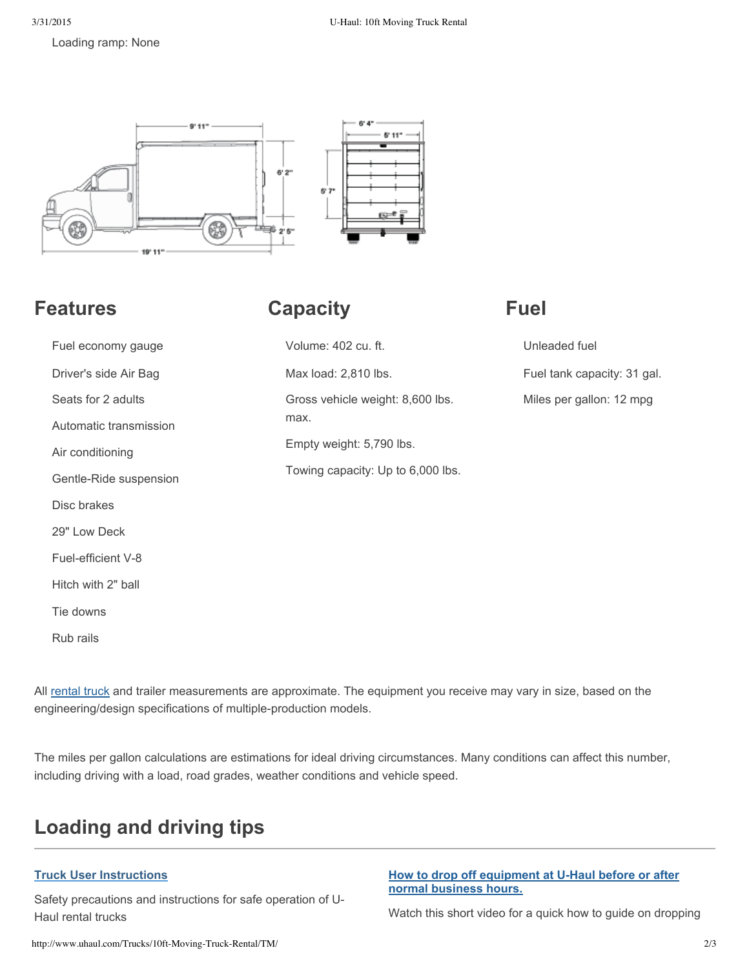Loading ramp: None



### **Features**

# **Capacity**

# **Fuel**

| Fuel economy gauge     | Volume: 402 cu. ft.               | Unleaded fuel               |  |
|------------------------|-----------------------------------|-----------------------------|--|
| Driver's side Air Bag  | Max load: 2,810 lbs.              | Fuel tank capacity: 31 gal. |  |
| Seats for 2 adults     | Gross vehicle weight: 8,600 lbs.  | Miles per gallon: 12 mpg    |  |
| Automatic transmission | max.                              |                             |  |
| Air conditioning       | Empty weight: 5,790 lbs.          |                             |  |
| Gentle-Ride suspension | Towing capacity: Up to 6,000 lbs. |                             |  |
| Disc brakes            |                                   |                             |  |
| 29" Low Deck           |                                   |                             |  |
| Fuel-efficient V-8     |                                   |                             |  |
| Hitch with 2" ball     |                                   |                             |  |
| Tie downs              |                                   |                             |  |
| Rub rails              |                                   |                             |  |

All rental truck and trailer measurements are approximate. The equipment you receive may vary in size, based on the engineering/design specifications of multiple-production models.

The miles per gallon calculations are estimations for ideal driving circumstances. Many conditions can affect this number, including driving with a load, road grades, weather conditions and vehicle speed.

# **Loading and driving tips**

### **Truck User Instructions**

Safety precautions and instructions for safe operation of U-Haul rental trucks

#### **How to drop off equipment at U-Haul before or after normal business hours.**

Watch this short video for a quick how to guide on dropping